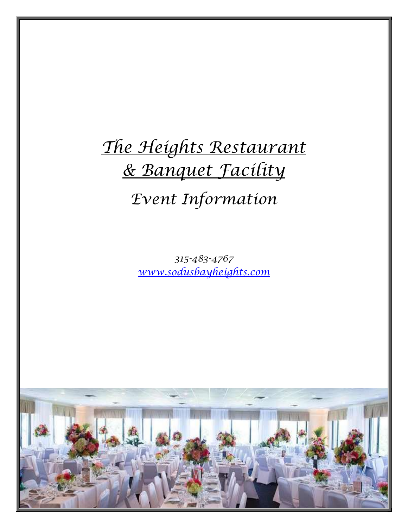# The Heights Restaurant & Banquet Facility Event Information

315-483-4767 www.sodusbayheights.com

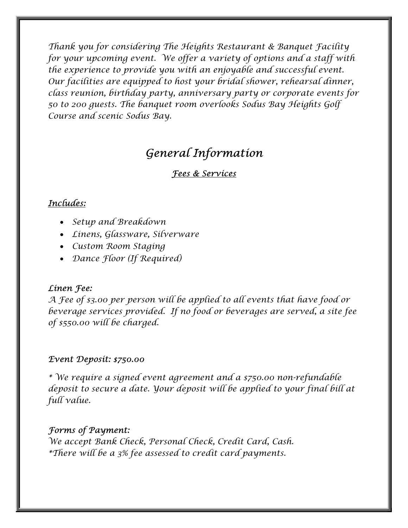Thank you for considering The Heights Restaurant & Banquet Facility for your upcoming event. We offer a variety of options and a staff with the experience to provide you with an enjoyable and successful event. Our facilities are equipped to host your bridal shower, rehearsal dinner, class reunion, birthday party, anniversary party or corporate events for 50 to 200 guests. The banquet room overlooks Sodus Bay Heights Golf Course and scenic Sodus Bay.

# General Information

## Fees & Services

## Includes:

- Setup and Breakdown
- Linens, Glassware, Silverware
- Custom Room Staging
- Dance Floor (If Required)

## Linen Fee:

A Fee of \$3.00 per person will be applied to all events that have food or beverage services provided. If no food or beverages are served, a site fee of \$550.00 will be charged.

## Event Deposit: \$750.00

\* We require a signed event agreement and a \$750.00 non-refundable deposit to secure a date. Your deposit will be applied to your final bill at full value.

## Forms of Payment:

We accept Bank Check, Personal Check, Credit Card, Cash. \*There will be a 3% fee assessed to credit card payments.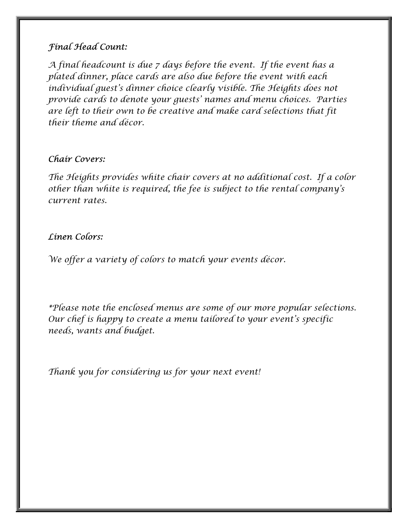## Final Head Count:

A final headcount is due 7 days before the event. If the event has a plated dinner, place cards are also due before the event with each individual guest's dinner choice clearly visible. The Heights does not provide cards to denote your guests' names and menu choices. Parties are left to their own to be creative and make card selections that fit their theme and décor.

### Chair Covers:

The Heights provides white chair covers at no additional cost. If a color other than white is required, the fee is subject to the rental company's current rates.

### Linen Colors:

We offer a variety of colors to match your events décor.

\*Please note the enclosed menus are some of our more popular selections. Our chef is happy to create a menu tailored to your event's specific needs, wants and budget.

Thank you for considering us for your next event!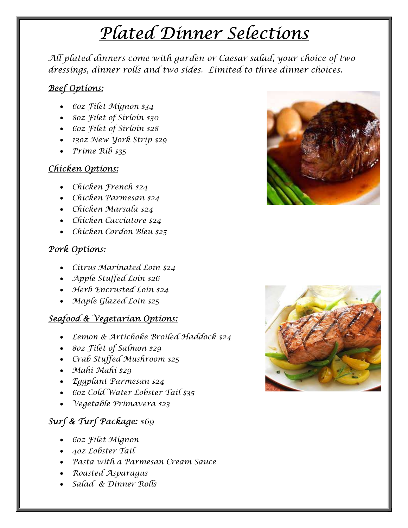# Plated Dinner Selections

All plated dinners come with garden or Caesar salad, your choice of two dressings, dinner rolls and two sides. Limited to three dinner choices.

## Beef Options:

- 6oz Filet Mignon \$34
- 80z Filet of Sirloin \$30
- 60z Filet of Sirloin \$28
- 130z New York Strip \$29
- Prime Rib \$35

## Chicken Options:

- Chicken French \$24
- Chicken Parmesan \$24
- Chicken Marsala \$24
- Chicken Cacciatore \$24
- Chicken Cordon Bleu \$25

## Pork Options:

- Citrus Marinated Loin \$24
- Apple Stuffed Loin \$26
- Herb Encrusted Loin \$24
- Maple Glazed Loin \$25

## Seafood & Vegetarian Options:

- Lemon & Artichoke Broiled Haddock \$24
- 8oz Filet of Salmon \$29
- Crab Stuffed Mushroom \$25
- Mahi Mahi \$29
- Eggplant Parmesan \$24
- 6oz Cold Water Lobster Tail \$35
- Vegetable Primavera \$23

# Surf & Turf Package: \$69

- 6oz Filet Mignon
- 4oz Lobster Tail
- Pasta with a Parmesan Cream Sauce
- Roasted Asparagus
- Salad & Dinner Rolls



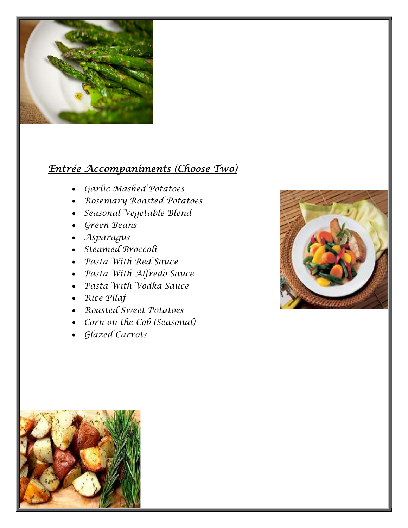

# Entrée Accompaniments (Choose Two)

- Garlic Mashed Potatoes
- Rosemary Roasted Potatoes
- Seasonal Vegetable Blend
- Green Beans
- Asparagus
- Steamed Broccoli
- Pasta With Red Sauce
- Pasta With Alfredo Sauce
- Pasta With Vodka Sauce
- Rice Pilaf
- Roasted Sweet Potatoes
- Corn on the Cob (Seasonal)
- Glazed Carrots



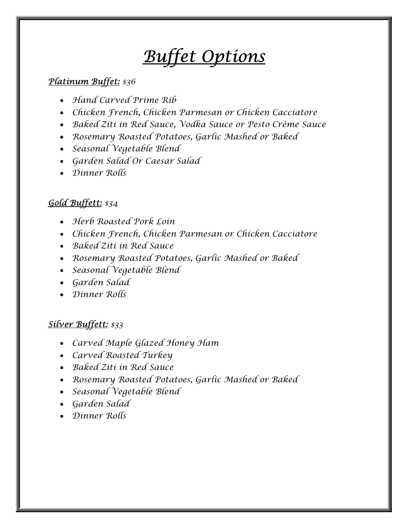# Buffet Options

## Platinum Buffet: \$36

- Hand Carved Prime Rib
- Chicken French, Chicken Parmesan or Chicken Cacciatore
- Baked Ziti in Red Sauce, Vodka Sauce or Pesto Crème Sauce
- Rosemary Roasted Potatoes, Garlic Mashed or Baked
- Seasonal Vegetable Blend
- Garden Salad Or Caesar Salad
- Dinner Rolls

## Gold Buffett: \$34

- Herb Roasted Pork Loin
- Chicken French, Chicken Parmesan or Chicken Cacciatore
- Baked Ziti in Red Sauce
- Rosemary Roasted Potatoes, Garlic Mashed or Baked
- Seasonal Vegetable Blend
- Garden Salad
- Dinner Rolls

## Silver Buffett: \$33

- Carved Maple Glazed Honey Ham
- Carved Roasted Turkey
- Baked Ziti in Red Sauce
- Rosemary Roasted Potatoes, Garlic Mashed or Baked
- Seasonal Vegetable Blend
- Garden Salad
- Dinner Rolls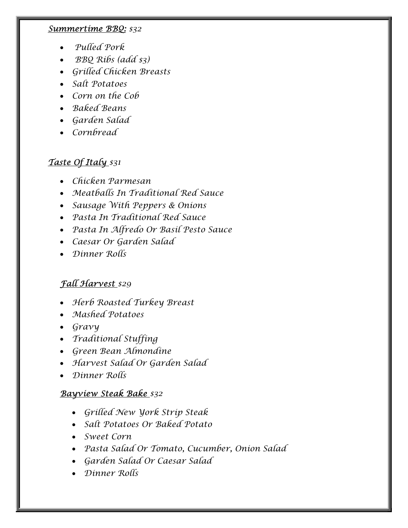#### Summertime BBQ: \$32

- Pulled Pork
- $\cdot$  BBQ Ribs (add  $\zeta$ 3)
- Grilled Chicken Breasts
- Salt Potatoes
- Corn on the Cob
- Baked Beans
- Garden Salad
- Cornbread

# Taste Of Italy \$31

- Chicken Parmesan
- Meatballs In Traditional Red Sauce
- Sausage With Peppers & Onions
- Pasta In Traditional Red Sauce
- Pasta In Alfredo Or Basil Pesto Sauce
- Caesar Or Garden Salad
- Dinner Rolls

# Fall Harvest \$29

- Herb Roasted Turkey Breast
- Mashed Potatoes
- Gravy
- Traditional Stuffing
- Green Bean Almondine
- Harvest Salad Or Garden Salad
- Dinner Rolls

## Bayview Steak Bake \$32

- Grilled New York Strip Steak
- Salt Potatoes Or Baked Potato
- Sweet Corn
- Pasta Salad Or Tomato, Cucumber, Onion Salad
- Garden Salad Or Caesar Salad
- Dinner Rolls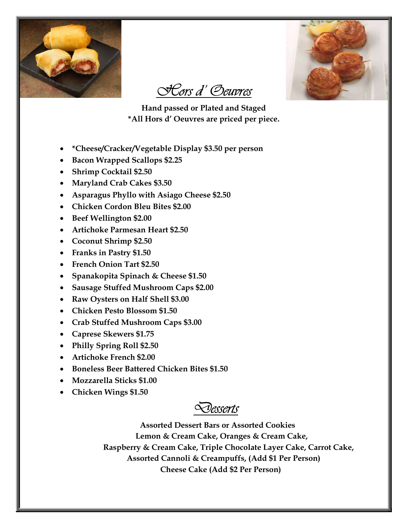



Hors d' Oeuvres Hand passed or Plated and Staged \*All Hors d' Oeuvres are priced per piece.

- \*Cheese/Cracker/Vegetable Display \$3.50 per person
- Bacon Wrapped Scallops \$2.25
- Shrimp Cocktail \$2.50
- Maryland Crab Cakes \$3.50
- Asparagus Phyllo with Asiago Cheese \$2.50
- Chicken Cordon Bleu Bites \$2.00
- Beef Wellington \$2.00
- Artichoke Parmesan Heart \$2.50
- Coconut Shrimp \$2.50
- Franks in Pastry \$1.50
- French Onion Tart \$2.50
- Spanakopita Spinach & Cheese \$1.50
- Sausage Stuffed Mushroom Caps \$2.00
- Raw Oysters on Half Shell \$3.00
- Chicken Pesto Blossom \$1.50
- Crab Stuffed Mushroom Caps \$3.00
- Caprese Skewers \$1.75
- Philly Spring Roll \$2.50
- Artichoke French \$2.00
- Boneless Beer Battered Chicken Bites \$1.50
- Mozzarella Sticks \$1.00
- Chicken Wings \$1.50

Desserts

 Assorted Dessert Bars or Assorted Cookies Lemon & Cream Cake, Oranges & Cream Cake, Raspberry & Cream Cake, Triple Chocolate Layer Cake, Carrot Cake, Assorted Cannoli & Creampuffs, (Add \$1 Per Person) Cheese Cake (Add \$2 Per Person)